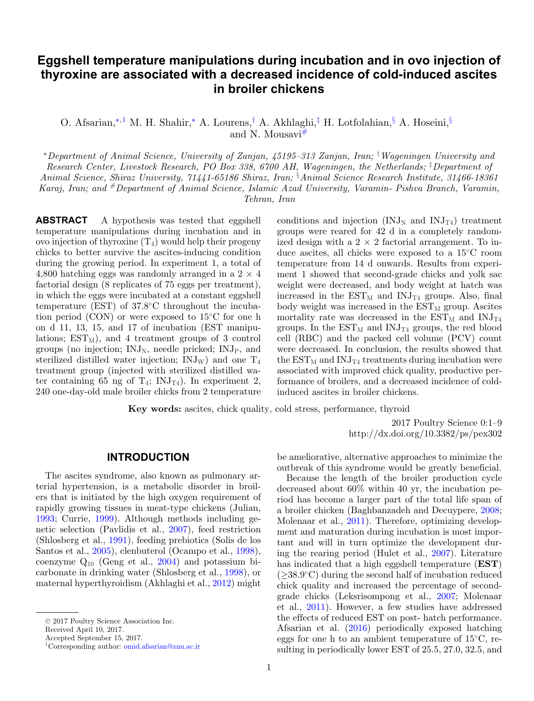### **Eggshell temperature manipulations during incubation and in ovo injection of thyroxine are associated with a decreased incidence of cold-induced ascites in broiler chickens**

O. Afsarian,[∗](#page-0-0)[,1](#page-0-1) M. H. Shahir,[∗](#page-0-0) A. Lourens,[†](#page-0-2) A. Akhlaghi,[‡](#page-0-3) H. Lotfolahian,[§](#page-0-4) A. Hoseini,[§](#page-0-4) and N. Mousav[i#](#page-0-5)

<span id="page-0-0"></span><sup>∗</sup>*Department of Animal Science, University of Zanjan, 45195–313 Zanjan, Iran;* † *Wageningen University and Research Center, Livestock Research, PO Box 338, 6700 AH, Wageningen, the Netherlands;* ‡ *Department of Animal Science, Shiraz University, 71441-65186 Shiraz, Iran;* § *Animal Science Research Institute, 31466-18361 Karaj, Iran; and #Department of Animal Science, Islamic Azad University, Varamin- Pishva Branch, Varamin, Tehran, Iran*

<span id="page-0-5"></span>**ABSTRACT** A hypothesis was tested that eggshell temperature manipulations during incubation and in ovo injection of thyroxine  $(T_4)$  would help their progeny chicks to better survive the ascites-inducing condition during the growing period. In experiment 1, a total of 4,800 hatching eggs was randomly arranged in a  $2 \times 4$ factorial design (8 replicates of 75 eggs per treatment), in which the eggs were incubated at a constant eggshell temperature (EST) of 37.8◦C throughout the incubation period (CON) or were exposed to 15◦C for one h on d 11, 13, 15, and 17 of incubation (EST manipulations;  $EST_M$ ), and 4 treatment groups of 3 control groups (no injection;  $\text{INJ}_N$ , needle pricked;  $\text{INJ}_P$ , and sterilized distilled water injection;  $\text{INJ}_W$ ) and one  $\text{T}_4$ treatment group (injected with sterilized distilled water containing 65 ng of  $T_4$ ; INJ<sub>T4</sub>). In experiment 2, 240 one-day-old male broiler chicks from 2 temperature

<span id="page-0-4"></span><span id="page-0-3"></span><span id="page-0-2"></span>conditions and injection  $(INJ_N$  and  $INJ_{T4}$ ) treatment groups were reared for 42 d in a completely randomized design with a  $2 \times 2$  factorial arrangement. To induce ascites, all chicks were exposed to a 15◦C room temperature from 14 d onwards. Results from experiment 1 showed that second-grade chicks and yolk sac weight were decreased, and body weight at hatch was increased in the  $\text{EST}_{M}$  and  $\text{INJ}_{T4}$  groups. Also, final body weight was increased in the  $\text{EST}_{\text{M}}$  group. Ascites mortality rate was decreased in the  $\text{EST}_M$  and  $\text{INJ}_{T4}$ groups. In the  $EST_M$  and  $INI_{T4}$  groups, the red blood cell (RBC) and the packed cell volume (PCV) count were decreased. In conclusion, the results showed that the  $EST_M$  and  $INJ_{T4}$  treatments during incubation were associated with improved chick quality, productive performance of broilers, and a decreased incidence of coldinduced ascites in broiler chickens.

**Key words:** ascites, chick quality, cold stress, performance, thyroid

2017 Poultry Science 0:1–9 http://dx.doi.org/10.3382/ps/pex302

### **INTRODUCTION**

The ascites syndrome, also known as pulmonary arterial hypertension, is a metabolic disorder in broilers that is initiated by the high oxygen requirement of rapidly growing tissues in meat-type chickens (Julian, [1993;](#page-7-0) Currie, [1999\)](#page-7-1). Although methods including genetic selection (Pavlidis et al., [2007\)](#page-7-2), feed restriction (Shlosberg et al., [1991\)](#page-8-0), feeding prebiotics (Solis de los Santos et al., [2005\)](#page-8-1), clenbuterol (Ocampo et al., [1998\)](#page-7-3), coenzyme  $Q_{10}$  (Geng et al., [2004\)](#page-7-4) and potassium bicarbonate in drinking water (Shlosberg et al., [1998\)](#page-8-2), or maternal hyperthyroidism (Akhlaghi et al., [2012\)](#page-7-5) might

Received April 10, 2017.

<span id="page-0-1"></span>Accepted September 15, 2017.

be ameliorative, alternative approaches to minimize the outbreak of this syndrome would be greatly beneficial.

Because the length of the broiler production cycle decreased about 60% within 40 yr, the incubation period has become a larger part of the total life span of a broiler chicken (Baghbanzadeh and Decuypere, [2008;](#page-7-6) Molenaar et al., [2011\)](#page-7-7). Therefore, optimizing development and maturation during incubation is most important and will in turn optimize the development during the rearing period (Hulet et al., [2007\)](#page-7-8). Literature has indicated that a high eggshell temperature (**EST**)  $(\geq 38.9°C)$  during the second half of incubation reduced chick quality and increased the percentage of secondgrade chicks (Leksrisompong et al., [2007;](#page-7-9) Molenaar et al., [2011\)](#page-7-7). However, a few studies have addressed the effects of reduced EST on post- hatch performance. Afsarian et al. [\(2016\)](#page-6-0) periodically exposed hatching eggs for one h to an ambient temperature of 15◦C, resulting in periodically lower EST of 25.5, 27.0, 32.5, and

<sup>C</sup> 2017 Poultry Science Association Inc.

<sup>1</sup>Corresponding author: [omid.afsarian@znu.ac.ir](mailto:omid.afsarian@znu.ac.ir)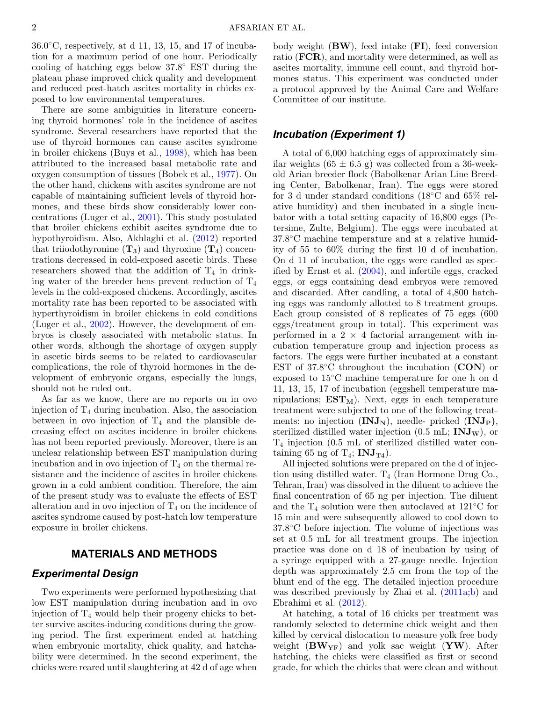$36.0\degree$ C, respectively, at d 11, 13, 15, and 17 of incubation for a maximum period of one hour. Periodically cooling of hatching eggs below 37.8◦ EST during the plateau phase improved chick quality and development and reduced post-hatch ascites mortality in chicks exposed to low environmental temperatures.

There are some ambiguities in literature concerning thyroid hormones' role in the incidence of ascites syndrome. Several researchers have reported that the use of thyroid hormones can cause ascites syndrome in broiler chickens (Buys et al., [1998\)](#page-7-10), which has been attributed to the increased basal metabolic rate and oxygen consumption of tissues (Bobek et al., [1977\)](#page-7-11). On the other hand, chickens with ascites syndrome are not capable of maintaining sufficient levels of thyroid hormones, and these birds show considerably lower concentrations (Luger et al., [2001\)](#page-7-12). This study postulated that broiler chickens exhibit ascites syndrome due to hypothyroidism. Also, Akhlaghi et al. [\(2012\)](#page-7-5) reported that triiodothyronine  $(\mathbf{T}_3)$  and thyroxine  $(\mathbf{T}_4)$  concentrations decreased in cold-exposed ascetic birds. These researchers showed that the addition of  $T_4$  in drinking water of the breeder hens prevent reduction of  $T_4$ levels in the cold-exposed chickens. Accordingly, ascites mortality rate has been reported to be associated with hyperthyroidism in broiler chickens in cold conditions (Luger et al., [2002\)](#page-7-13). However, the development of embryos is closely associated with metabolic status. In other words, although the shortage of oxygen supply in ascetic birds seems to be related to cardiovascular complications, the role of thyroid hormones in the development of embryonic organs, especially the lungs, should not be ruled out.

As far as we know, there are no reports on in ovo injection of  $T_4$  during incubation. Also, the association between in ovo injection of  $T_4$  and the plausible decreasing effect on ascites incidence in broiler chickens has not been reported previously. Moreover, there is an unclear relationship between EST manipulation during incubation and in ovo injection of  $T_4$  on the thermal resistance and the incidence of ascites in broiler chickens grown in a cold ambient condition. Therefore, the aim of the present study was to evaluate the effects of EST alteration and in ovo injection of  $T_4$  on the incidence of ascites syndrome caused by post-hatch low temperature exposure in broiler chickens.

### **MATERIALS AND METHODS**

### *Experimental Design*

Two experiments were performed hypothesizing that low EST manipulation during incubation and in ovo injection of  $T_4$  would help their progeny chicks to better survive ascites-inducing conditions during the growing period. The first experiment ended at hatching when embryonic mortality, chick quality, and hatchability were determined. In the second experiment, the chicks were reared until slaughtering at 42 d of age when

body weight (**BW**), feed intake (**FI**), feed conversion ratio (**FCR**), and mortality were determined, as well as ascites mortality, immune cell count, and thyroid hormones status. This experiment was conducted under a protocol approved by the Animal Care and Welfare Committee of our institute.

# *Incubation (Experiment 1)*

A total of 6,000 hatching eggs of approximately similar weights  $(65 \pm 6.5 \text{ g})$  was collected from a 36-weekold Arian breeder flock (Babolkenar Arian Line Breeding Center, Babolkenar, Iran). The eggs were stored for 3 d under standard conditions (18◦C and 65% relative humidity) and then incubated in a single incubator with a total setting capacity of 16,800 eggs (Petersime, Zulte, Belgium). The eggs were incubated at 37.8◦C machine temperature and at a relative humidity of 55 to 60% during the first 10 d of incubation. On d 11 of incubation, the eggs were candled as specified by Ernst et al. [\(2004\)](#page-7-14), and infertile eggs, cracked eggs, or eggs containing dead embryos were removed and discarded. After candling, a total of 4,800 hatching eggs was randomly allotted to 8 treatment groups. Each group consisted of 8 replicates of 75 eggs (600 eggs/treatment group in total). This experiment was performed in a  $2 \times 4$  factorial arrangement with incubation temperature group and injection process as factors. The eggs were further incubated at a constant EST of 37.8◦C throughout the incubation (**CON**) or exposed to 15◦C machine temperature for one h on d 11, 13, 15, 17 of incubation (eggshell temperature manipulations;  $EST_M$ ). Next, eggs in each temperature treatment were subjected to one of the following treatments: no injection  $(INJ_N)$ , needle- pricked  $(INJ_P)$ , sterilized distilled water injection  $(0.5 \text{ mL}; \textbf{INJ}_W)$ , or T4 injection (0.5 mL of sterilized distilled water containing 65 ng of  $T_4$ ; **INJ**<sub>T4</sub>).

All injected solutions were prepared on the d of injection using distilled water.  $T_4$  (Iran Hormone Drug Co., Tehran, Iran) was dissolved in the diluent to achieve the final concentration of 65 ng per injection. The diluent and the  $T_4$  solution were then autoclaved at 121 $°C$  for 15 min and were subsequently allowed to cool down to 37.8◦C before injection. The volume of injections was set at 0.5 mL for all treatment groups. The injection practice was done on d 18 of incubation by using of a syringe equipped with a 27-gauge needle. Injection depth was approximately 2.5 cm from the top of the blunt end of the egg. The detailed injection procedure was described previously by Zhai et al. [\(2011a;](#page-8-3)[b\)](#page-8-4) and Ebrahimi et al. [\(2012\)](#page-7-15).

At hatching, a total of 16 chicks per treatment was randomly selected to determine chick weight and then killed by cervical dislocation to measure yolk free body weight (**BWYF**) and yolk sac weight (**YW**). After hatching, the chicks were classified as first or second grade, for which the chicks that were clean and without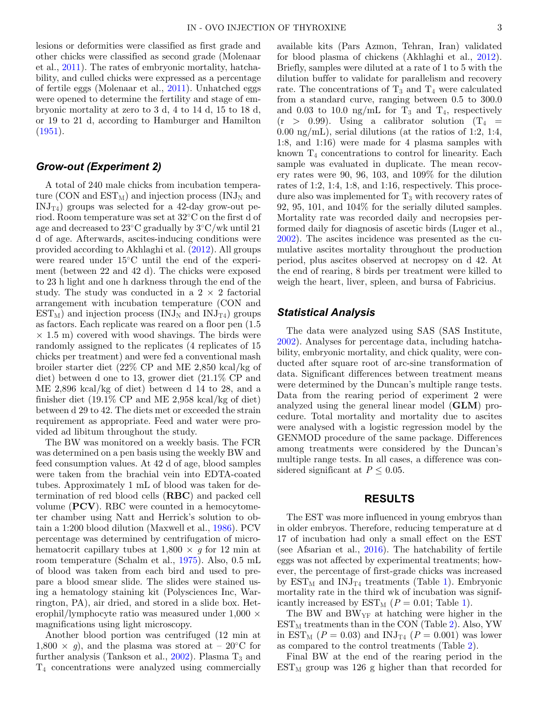lesions or deformities were classified as first grade and other chicks were classified as second grade (Molenaar et al., [2011\)](#page-7-7). The rates of embryonic mortality, hatchability, and culled chicks were expressed as a percentage of fertile eggs (Molenaar et al., [2011\)](#page-7-7). Unhatched eggs were opened to determine the fertility and stage of embryonic mortality at zero to 3 d, 4 to 14 d, 15 to 18 d, or 19 to 21 d, according to Hamburger and Hamilton  $(1951).$  $(1951).$ 

# *Grow-out (Experiment 2)*

A total of 240 male chicks from incubation temperature (CON and  $\text{EST}_{\text{M}}$ ) and injection process (INJ<sub>N</sub> and  $\text{INJ}_{\text{T4}}$ ) groups was selected for a 42-day grow-out period. Room temperature was set at 32◦C on the first d of age and decreased to 23◦C gradually by 3◦C/wk until 21 d of age. Afterwards, ascites-inducing conditions were provided according to Akhlaghi et al. [\(2012\)](#page-7-5). All groups were reared under 15◦C until the end of the experiment (between 22 and 42 d). The chicks were exposed to 23 h light and one h darkness through the end of the study. The study was conducted in a  $2 \times 2$  factorial arrangement with incubation temperature (CON and  $EST_M$ ) and injection process (INJ<sub>N</sub> and INJ<sub>T4</sub>) groups as factors. Each replicate was reared on a floor pen (1.5  $\times$  1.5 m) covered with wood shavings. The birds were randomly assigned to the replicates (4 replicates of 15 chicks per treatment) and were fed a conventional mash broiler starter diet (22% CP and ME 2,850 kcal/kg of diet) between d one to 13, grower diet (21.1% CP and ME 2,896 kcal/kg of diet) between d 14 to 28, and a finisher diet (19.1% CP and ME 2,958 kcal/kg of diet) between d 29 to 42. The diets met or exceeded the strain requirement as appropriate. Feed and water were provided ad libitum throughout the study.

The BW was monitored on a weekly basis. The FCR was determined on a pen basis using the weekly BW and feed consumption values. At 42 d of age, blood samples were taken from the brachial vein into EDTA-coated tubes. Approximately 1 mL of blood was taken for determination of red blood cells (**RBC**) and packed cell volume (**PCV**). RBC were counted in a hemocytometer chamber using Natt and Herrick's solution to obtain a 1:200 blood dilution (Maxwell et al., [1986\)](#page-7-17). PCV percentage was determined by centrifugation of microhematocrit capillary tubes at  $1,800 \times g$  for 12 min at room temperature (Schalm et al., [1975\)](#page-7-18). Also, 0.5 mL of blood was taken from each bird and used to prepare a blood smear slide. The slides were stained using a hematology staining kit (Polysciences Inc, Warrington, PA), air dried, and stored in a slide box. Heterophil/lymphocyte ratio was measured under  $1,000 \times$ magnifications using light microscopy.

Another blood portion was centrifuged (12 min at  $1,800 \times g$ , and the plasma was stored at – 20°C for further analysis (Tankson et al.,  $2002$ ). Plasma  $T_3$  and T4 concentrations were analyzed using commercially

available kits (Pars Azmon, Tehran, Iran) validated for blood plasma of chickens (Akhlaghi et al., [2012\)](#page-7-5). Briefly, samples were diluted at a rate of 1 to 5 with the dilution buffer to validate for parallelism and recovery rate. The concentrations of  $T_3$  and  $T_4$  were calculated from a standard curve, ranging between 0.5 to 300.0 and 0.03 to 10.0 ng/mL for  $T_3$  and  $T_4$ , respectively  $(r > 0.99)$ . Using a calibrator solution  $(T_4 =$  $0.00 \text{ ng/mL}$ , serial dilutions (at the ratios of 1:2, 1:4, 1:8, and 1:16) were made for 4 plasma samples with known  $T_4$  concentrations to control for linearity. Each sample was evaluated in duplicate. The mean recovery rates were 90, 96, 103, and 109% for the dilution rates of 1:2, 1:4, 1:8, and 1:16, respectively. This procedure also was implemented for  $T_3$  with recovery rates of 92, 95, 101, and 104% for the serially diluted samples. Mortality rate was recorded daily and necropsies performed daily for diagnosis of ascetic birds (Luger et al., [2002\)](#page-7-13). The ascites incidence was presented as the cumulative ascites mortality throughout the production period, plus ascites observed at necropsy on d 42. At the end of rearing, 8 birds per treatment were killed to weigh the heart, liver, spleen, and bursa of Fabricius.

# *Statistical Analysis*

The data were analyzed using SAS (SAS Institute, [2002\)](#page-7-19). Analyses for percentage data, including hatchability, embryonic mortality, and chick quality, were conducted after square root of arc-sine transformation of data. Significant differences between treatment means were determined by the Duncan's multiple range tests. Data from the rearing period of experiment 2 were analyzed using the general linear model (**GLM**) procedure. Total mortality and mortality due to ascites were analysed with a logistic regression model by the GENMOD procedure of the same package. Differences among treatments were considered by the Duncan's multiple range tests. In all cases, a difference was considered significant at  $P \leq 0.05$ .

#### **RESULTS**

The EST was more influenced in young embryos than in older embryos. Therefore, reducing temperature at d 17 of incubation had only a small effect on the EST (see Afsarian et al., [2016\)](#page-6-0). The hatchability of fertile eggs was not affected by experimental treatments; however, the percentage of first-grade chicks was increased by  $EST_M$  and  $INJ_{T4}$  treatments (Table [1\)](#page-3-0). Embryonic mortality rate in the third wk of incubation was significantly increased by  $\text{EST}_{\text{M}}$  ( $P = 0.01$ ; Table [1\)](#page-3-0).

The BW and  $BW_{YF}$  at hatching were higher in the  $EST_M$  treatments than in the CON (Table [2\)](#page-3-1). Also, YW in  $EST_M$  ( $P = 0.03$ ) and  $INJ_{T4}$  ( $P = 0.001$ ) was lower as compared to the control treatments (Table [2\)](#page-3-1).

Final BW at the end of the rearing period in the  $EST_M$  group was 126 g higher than that recorded for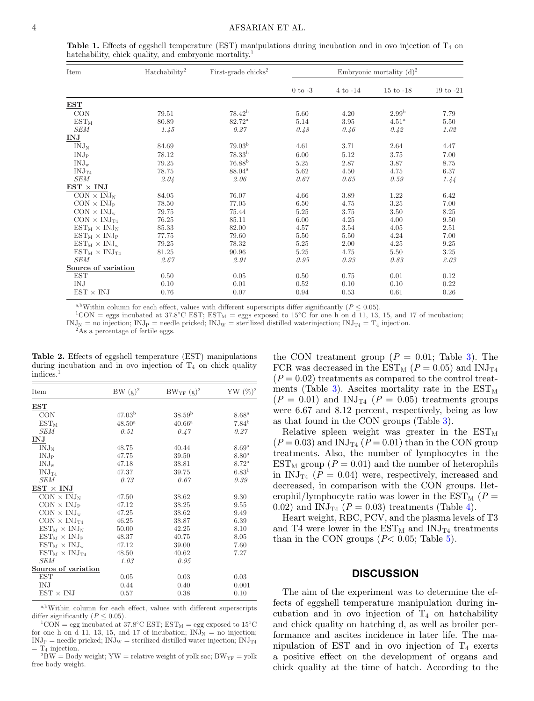<span id="page-3-0"></span>**Table 1.** Effects of eggshell temperature (EST) manipulations during incubation and in ovo injection of T4 on hatchability, chick quality, and embryonic mortality.<sup>1</sup>

| Item                           | Hatchability <sup>2</sup> | First-grade chicks <sup>2</sup> | Embryonic mortality $(d)^2$ |              |                   |                      |  |
|--------------------------------|---------------------------|---------------------------------|-----------------------------|--------------|-------------------|----------------------|--|
|                                |                           |                                 | $0$ to $-3$                 | $4$ to $-14$ | $15$ to $-18$     | $19 \text{ to } -21$ |  |
| <b>EST</b>                     |                           |                                 |                             |              |                   |                      |  |
| <b>CON</b>                     | 79.51                     | $78.42^{b}$                     | 5.60                        | 4.20         | 2.99 <sup>b</sup> | 7.79                 |  |
| $EST_{M}$                      | 80.89                     | $82.72^{\rm a}$                 | 5.14                        | 3.95         | 4.51 <sup>a</sup> | 5.50                 |  |
| SEM                            | 1.45                      | 0.27                            | 0.48                        | 0.46         | 0.42              | 1.02                 |  |
| INJ                            |                           |                                 |                             |              |                   |                      |  |
| $INJ_N$                        | 84.69                     | 79.03 <sup>b</sup>              | 4.61                        | 3.71         | 2.64              | 4.47                 |  |
| INJ <sub>P</sub>               | 78.12                     | $78.33^{b}$                     | 6.00                        | 5.12         | 3.75              | 7.00                 |  |
| $\text{INJ}_\text{w}$          | 79.25                     | 76.88 <sup>b</sup>              | 5.25                        | 2.87         | 3.87              | 8.75                 |  |
| INJ <sub>T4</sub>              | 78.75                     | $88.04^{\rm a}$                 | 5.62                        | 4.50         | 4.75              | 6.37                 |  |
| <b>SEM</b>                     | 2.04                      | 2.06                            | 0.67                        | 0.65         | 0.59              | 1.44                 |  |
| $EST \times INJ$               |                           |                                 |                             |              |                   |                      |  |
| $CON \times INJ_N$             | 84.05                     | 76.07                           | 4.66                        | 3.89         | 1.22              | 6.42                 |  |
| $CON \times INJ_{P}$           | 78.50                     | 77.05                           | 6.50                        | 4.75         | 3.25              | 7.00                 |  |
| $CON \times INJ_w$             | 79.75                     | 75.44                           | 5.25                        | 3.75         | 3.50              | 8.25                 |  |
| $CON \times INJ_{T4}$          | 76.25                     | 85.11                           | 6.00                        | 4.25         | 4.00              | 9.50                 |  |
| $EST_M \times INJ_N$           | 85.33                     | 82.00                           | 4.57                        | 3.54         | 4.05              | 2.51                 |  |
| $EST_M \times INJ_P$           | 77.75                     | 79.60                           | 5.50                        | 5.50         | 4.24              | 7.00                 |  |
| $EST_M \times INJ_w$           | 79.25                     | 78.32                           | 5.25                        | 2.00         | 4.25              | 9.25                 |  |
| $EST_M \times INJ_{T4}$        | 81.25                     | 90.96                           | 5.25                        | 4.75         | 5.50              | 3.25                 |  |
| <b>SEM</b>                     | 2.67                      | 2.91                            | 0.95                        | 0.93         | 0.83              | 2.03                 |  |
| Source of variation            |                           |                                 |                             |              |                   |                      |  |
| <b>EST</b>                     | 0.50                      | 0.05                            | 0.50                        | 0.75         | 0.01              | 0.12                 |  |
| IN.J                           | 0.10                      | 0.01                            | 0.52                        | 0.10         | 0.10              | 0.22                 |  |
| $\text{EST} \times \text{INJ}$ | 0.76                      | 0.07                            | 0.94                        | 0.53         | 0.61              | 0.26                 |  |

a,bWithin column for each effect, values with different superscripts differ significantly ( $P \le 0.05$ ). <sup>1</sup>CON = eggs incubated at 37.8◦C EST; EST<sub>M</sub> = eggs exposed to 15◦C for one h on d 11, 13, 15, and 17 of incubation;  $\text{INJ}_N$  = no injection;  $\text{INJ}_P$  = needle pricked;  $\text{INJ}_W$  = sterilized distilled waterinjection;  $\text{INJ}_{T4} = T_4$  injection. <sup>2</sup>As a percentage of fertile eggs.

<span id="page-3-1"></span>**Table 2.** Effects of eggshell temperature (EST) manipulations during incubation and in ovo injection of  $T_4$  on chick quality indices.<sup>1</sup>

| Item                    | $BW(g)^2$          | $BW_{YF}$ (g) <sup>2</sup> | $YW(%)^2$         |
|-------------------------|--------------------|----------------------------|-------------------|
| $_{\rm EST}$            |                    |                            |                   |
| <b>CON</b>              | 47.03 <sup>b</sup> | 38.59 <sup>b</sup>         | 8.68 <sup>a</sup> |
| $EST_{M}$               | $48.50^{\rm a}$    | $40.66^{\rm a}$            | $7.84^{b}$        |
| <b>SEM</b>              | 0.51               | 0.47                       | 0.27              |
| INJ                     |                    |                            |                   |
| $INJ_N$                 | 48.75              | 40.44                      | 8.69 <sup>a</sup> |
| INJ <sub>P</sub>        | 47.75              | 39.50                      | 8.80 <sup>a</sup> |
| $\text{INJ}_w$          | 47.18              | 38.81                      | $8.72^{\rm a}$    |
| INJ <sub>T4</sub>       | 47.37              | 39.75                      | 6.83 <sup>b</sup> |
| SEM                     | 0.73               | 0.67                       | 0.39              |
| $EST \times INJ$        |                    |                            |                   |
| $CON \times INJ_N$      | 47.50              | 38.62                      | 9.30              |
| $CON \times INJ_P$      | 47.12              | 38.25                      | 9.55              |
| $CON \times INJ_w$      | 47.25              | 38.62                      | 9.49              |
| $CON \times INJ_{T4}$   | 46.25              | 38.87                      | 6.39              |
| $EST_M \times INJ_N$    | 50.00              | 42.25                      | 8.10              |
| $EST_M \times INJ_P$    | 48.37              | 40.75                      | 8.05              |
| $EST_M \times INJ_w$    | 47.12              | 39.00                      | 7.60              |
| $EST_M \times INJ_{T4}$ | 48.50              | 40.62                      | 7.27              |
| <i>SEM</i>              | 1.03               | 0.95                       |                   |
| Source of variation     |                    |                            |                   |
| <b>EST</b>              | 0.05               | 0.03                       | 0.03              |
| IN.J                    | 0.44               | 0.40                       | 0.001             |
| $EST \times INJ$        | 0.57               | 0.38                       | 0.10              |

<sup>a,b</sup>Within column for each effect, values with different superscripts differ significantly ( $P \le 0.05$ ).

 ${}^{1}$ CON = egg incubated at 37.8°C EST; EST<sub>M</sub> = egg exposed to 15°C for one h on d 11, 13, 15, and 17 of incubation;  $\text{INJ}_N = \text{no injection};$ INJ<sub>P</sub> = needle pricked; INJ<sub>W</sub> = sterilized distilled water injection; INJ<sub>T4</sub> = T<sub>4</sub> injection.

 $2\text{BW} = \text{Body weight}; YW =$  relative weight of yolk sac;  $\text{BW}_{YF} = \text{yolk}$ free body weight.

the CON treatment group  $(P = 0.01;$  Table [3\)](#page-4-0). The FCR was decreased in the EST<sub>M</sub> ( $P = 0.05$ ) and INJ<sub>T4</sub>  $(P = 0.02)$  treatments as compared to the control treat-ments (Table [3\)](#page-4-0). Ascites mortality rate in the  $\text{EST}_{\text{M}}$  $(P = 0.01)$  and INJ<sub>T4</sub>  $(P = 0.05)$  treatments groups were 6.67 and 8.12 percent, respectively, being as low as that found in the CON groups (Table [3\)](#page-4-0).

Relative spleen weight was greater in the  $\text{EST}_{\text{M}}$  $(P = 0.03)$  and INJ<sub>T4</sub>  $(P = 0.01)$  than in the CON group treatments. Also, the number of lymphocytes in the  $EST_{M}$  group ( $P = 0.01$ ) and the number of heterophils in  $\text{INJ}_{\text{T4}}$  ( $P = 0.04$ ) were, respectively, increased and decreased, in comparison with the CON groups. Heterophil/lymphocyte ratio was lower in the  $\text{EST}_{\text{M}}$  ( $P =$ 0.02) and INJ<sub>T4</sub> ( $P = 0.03$ ) treatments (Table [4\)](#page-4-1).

Heart weight, RBC, PCV, and the plasma levels of T3 and T4 were lower in the  $EST_M$  and  $INJ_{T4}$  treatments than in the CON groups  $(P< 0.05;$  Table [5\)](#page-5-0).

#### **DISCUSSION**

The aim of the experiment was to determine the effects of eggshell temperature manipulation during incubation and in ovo injection of  $T_4$  on hatchability and chick quality on hatching d, as well as broiler performance and ascites incidence in later life. The manipulation of EST and in ovo injection of  $T_4$  exerts a positive effect on the development of organs and chick quality at the time of hatch. According to the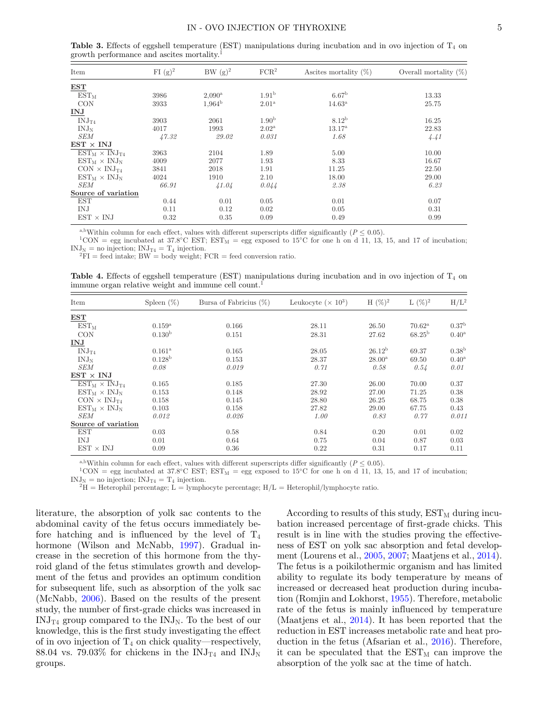#### IN - OVO INJECTION OF THYROXINE 5

| Item                    | $FI (g)^2$ | $BW(g)^2$       | FCR <sup>2</sup>  | Ascites mortality $(\%)$ | Overall mortality $(\%)$ |
|-------------------------|------------|-----------------|-------------------|--------------------------|--------------------------|
| <b>EST</b>              |            |                 |                   |                          |                          |
| $EST_{M}$               | 3986       | $2,090^{\rm a}$ | 1.91 <sup>b</sup> | 6.67 <sup>b</sup>        | 13.33                    |
| <b>CON</b>              | 3933       | $1.964^{\rm b}$ | $2.01^{\rm a}$    | $14.63^{\rm a}$          | 25.75                    |
| <b>INJ</b>              |            |                 |                   |                          |                          |
| INJ <sub>T4</sub>       | 3903       | 2061            | 1.90 <sup>b</sup> | 8.12 <sup>b</sup>        | 16.25                    |
| $INJ_N$                 | 4017       | 1993            | $2.02^{\rm a}$    | $13.17^{\rm a}$          | 22.83                    |
| <b>SEM</b>              | 47.32      | 29.02           | 0.031             | 1.68                     | 4.41                     |
| $EST \times INJ$        |            |                 |                   |                          |                          |
| $EST_M \times INJ_{T4}$ | 3963       | 2104            | 1.89              | 5.00                     | 10.00                    |
| $EST_M \times INJ_N$    | 4009       | 2077            | 1.93              | 8.33                     | 16.67                    |
| $CON \times INJ_{T4}$   | 3841       | 2018            | 1.91              | 11.25                    | 22.50                    |
| $EST_M \times INJ_N$    | 4024       | 1910            | 2.10              | 18.00                    | 29.00                    |
| <b>SEM</b>              | 66.91      | 41.04           | 0.044             | 2.38                     | 6.23                     |
| Source of variation     |            |                 |                   |                          |                          |
| <b>EST</b>              | 0.44       | 0.01            | 0.05              | 0.01                     | 0.07                     |
| IN.J                    | 0.11       | 0.12            | 0.02              | 0.05                     | 0.31                     |
| $EST \times INJ$        | 0.32       | 0.35            | 0.09              | 0.49                     | 0.99                     |

<span id="page-4-0"></span>**Table 3.** Effects of eggshell temperature (EST) manipulations during incubation and in ovo injection of T4 on growth performance and ascites mortality.1

<sup>a,b</sup>Within column for each effect, values with different superscripts differ significantly (*P* ≤ 0.05).<br><sup>1</sup>CON = egg incubated at 37.8°C EST; EST<sub>M</sub> = egg exposed to 15°C for one h on d 11, 13, 15, and 17 of incubation;

 ${}^{2}$ FI = feed intake; BW = body weight; FCR = feed conversion ratio.

<span id="page-4-1"></span>**Table 4.** Effects of eggshell temperature (EST) manipulations during incubation and in ovo injection of  $T_4$  on immune organ relative weight and immune cell count.<sup>1</sup>

| Item                    | Spleen $(\%)$      | Bursa of Fabricius $(\%)$ | Leukocyte $(\times 10^3)$ | $H (\%)^2$         | $L(\%)^2$       | $H/L^2$             |
|-------------------------|--------------------|---------------------------|---------------------------|--------------------|-----------------|---------------------|
| EST                     |                    |                           |                           |                    |                 |                     |
| $EST_M$                 | $0.159^{a}$        | 0.166                     | 28.11                     | 26.50              | $70.62^{\rm a}$ | 0.37 <sup>b</sup>   |
| <b>CON</b>              | 0.130 <sup>b</sup> | 0.151                     | 28.31                     | 27.62              | $68.25^{\rm b}$ | $0.40^{\mathrm{a}}$ |
| <b>INJ</b>              |                    |                           |                           |                    |                 |                     |
| INJ <sub>T4</sub>       | $0.161^{\rm a}$    | 0.165                     | 28.05                     | 26.12 <sup>b</sup> | 69.37           | 0.38 <sup>b</sup>   |
| $INJ_N$                 | $0.128^{b}$        | 0.153                     | 28.37                     | $28.00^{\rm a}$    | 69.50           | $0.40^{\rm a}$      |
| <b>SEM</b>              | 0.08               | 0.019                     | 0.71                      | 0.58               | 0.54            | 0.01                |
| $EST \times INJ$        |                    |                           |                           |                    |                 |                     |
| $EST_M \times INJ_{TA}$ | 0.165              | 0.185                     | 27.30                     | 26.00              | 70.00           | 0.37                |
| $EST_M \times INJ_N$    | 0.153              | 0.148                     | 28.92                     | 27.00              | 71.25           | 0.38                |
| $CON \times INJ_{T4}$   | 0.158              | 0.145                     | 28.80                     | 26.25              | 68.75           | 0.38                |
| $EST_M \times INJ_N$    | 0.103              | 0.158                     | 27.82                     | 29.00              | 67.75           | 0.43                |
| <b>SEM</b>              | 0.012              | 0.026                     | 1.00                      | 0.83               | 0.77            | 0.011               |
| Source of variation     |                    |                           |                           |                    |                 |                     |
| EST                     | 0.03               | 0.58                      | 0.84                      | 0.20               | 0.01            | 0.02                |
| IN.J                    | 0.01               | 0.64                      | 0.75                      | 0.04               | 0.87            | 0.03                |
| $EST \times INJ$        | 0.09               | 0.36                      | 0.22                      | 0.31               | 0.17            | 0.11                |

<sup>a,b</sup>Within column for each effect, values with different superscripts differ significantly (*P* ≤ 0.05).<br><sup>1</sup>CON = egg incubated at 37.8°C EST; EST<sub>M</sub> = egg exposed to 15°C for one h on d 11, 13, 15, and 17 of incubation;

 ${}^{2}H$  = Heterophil percentage; L = lymphocyte percentage; H/L = Heterophil/lymphocyte ratio.

literature[,](#page-4-0) the absorption of yolk sac contents to the abdominal cavity of the fetus occurs immediately before hatching and is influenced by the level of  $T_4$ hormone (Wilson and McNabb, [1997\)](#page-8-6). Gradual increase in the secretion of this hormone from the thyroid gland of the fetus stimulates growth and development of the fetus and provides an optimum condition for subsequent life, such as absorption of the yolk sac (McNabb, [2006\)](#page-7-20). Based on the results of the present study, the number of first-grade chicks was increased in  $\text{INJ}_{\text{T4}}$  group compared to the  $\text{INJ}_{\text{N}}$ . To the best of our knowledge, this is the first study investigating the effect of in ovo injection of  $T_4$  on chick quality—respectively, 88.04 vs. 79.03% for chickens in the  $\text{INJ}_{\text{T4}}$  and  $\text{INJ}_{\text{N}}$ groups.

According to results of this study,  $EST_M$  during incubation increased percentage of first-grade chicks. This result is in line with the studies proving the effectiveness of EST on yolk sac absorption and fetal development (Lourens et al., [2005,](#page-7-21) [2007;](#page-7-22) Maatjens et al., [2014\)](#page-7-23). The fetus is a poikilothermic organism and has limited ability to regulate its body temperature by means of increased or decreased heat production during incubation (Romjin and Lokhorst, [1955\)](#page-7-24). Therefore, metabolic rate of the fetus is mainly influenced by temperature (Maatjens et al., [2014\)](#page-7-23). It has been reported that the reduction in EST increases metabolic rate and heat production in the fetus (Afsarian et al., [2016\)](#page-6-0). Therefore, it can be speculated that the  $EST_M$  can improve the absorption of the yolk sac at the time of hatch.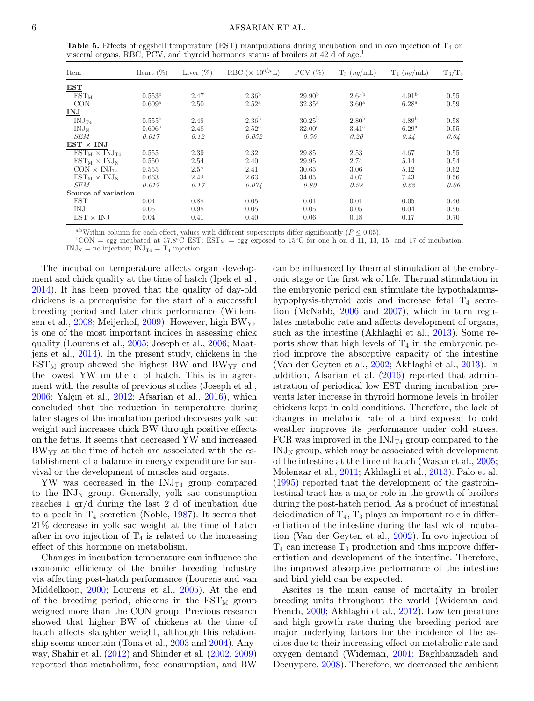<span id="page-5-0"></span>

|  |  | Table 5. Effects of eggshell temperature (EST) manipulations during incubation and in ovo injection of $T_4$ on |  |  |  |  |
|--|--|-----------------------------------------------------------------------------------------------------------------|--|--|--|--|
|  |  | visceral organs, RBC, PCV, and thyroid hormones status of broilers at 42 d of age.                              |  |  |  |  |

| Item                    | Heart $(\%)$    | Liver $(\%)$ | RBC ( $\times$ 10 <sup>6/<math>\mu</math></sup> L) | PCV $(\%)$         | $T_3$ $(nq/mL)$     | $T_4$ (ng/mL)     | $T_3/T_4$ |
|-------------------------|-----------------|--------------|----------------------------------------------------|--------------------|---------------------|-------------------|-----------|
| $_{\rm EST}$            |                 |              |                                                    |                    |                     |                   |           |
| $EST_M$                 | $0.553^{\rm b}$ | 2.47         | 2.36 <sup>b</sup>                                  | 29.90 <sup>b</sup> | $2.64^{\rm b}$      | 4.91 <sup>b</sup> | 0.55      |
| <b>CON</b>              | $0.609^{\rm a}$ | 2.50         | $2.52^{\rm a}$                                     | $32.35^{\rm a}$    | $3.60^{\rm a}$      | $6.28^{a}$        | 0.59      |
| <b>INJ</b>              |                 |              |                                                    |                    |                     |                   |           |
| INJ <sub>T4</sub>       | $0.555^{\rm b}$ | 2.48         | 2.36 <sup>b</sup>                                  | $30.25^{\rm b}$    | 2.80 <sup>b</sup>   | 4.89 <sup>b</sup> | 0.58      |
| $INJ_N$                 | $0.606^{\rm a}$ | 2.48         | $2.52^{\rm a}$                                     | $32.00^{\rm a}$    | $3.41^{\mathrm{a}}$ | 6.29 <sup>a</sup> | 0.55      |
| <b>SEM</b>              | 0.017           | 0.12         | 0.052                                              | 0.56               | 0.20                | 0.44              | 0.04      |
| $EST \times INJ$        |                 |              |                                                    |                    |                     |                   |           |
| $EST_M \times INJ_{T4}$ | 0.555           | 2.39         | 2.32                                               | 29.85              | 2.53                | 4.67              | 0.55      |
| $EST_M \times INJ_N$    | 0.550           | 2.54         | 2.40                                               | 29.95              | 2.74                | 5.14              | 0.54      |
| $CON \times INJ_{T4}$   | 0.555           | 2.57         | 2.41                                               | 30.65              | 3.06                | 5.12              | 0.62      |
| $EST_M \times INJ_N$    | 0.663           | 2.42         | 2.63                                               | 34.05              | 4.07                | 7.43              | 0.56      |
| <b>SEM</b>              | 0.017           | 0.17         | 0.074                                              | 0.80               | 0.28                | 0.62              | 0.06      |
| Source of variation     |                 |              |                                                    |                    |                     |                   |           |
| <b>EST</b>              | 0.04            | 0.88         | 0.05                                               | 0.01               | 0.01                | 0.05              | 0.46      |
| IN.J                    | 0.05            | 0.98         | 0.05                                               | 0.05               | 0.05                | 0.04              | 0.56      |
| $EST \times INJ$        | 0.04            | 0.41         | 0.40                                               | 0.06               | 0.18                | 0.17              | 0.70      |

a,bWithin column for each effect, values with different superscripts differ significantly ( $P \le 0.05$ ).<br><sup>1</sup>CON = egg incubated at 37.8°C EST; EST<sub>M</sub> = egg exposed to 15°C for one h on d 11, 13, 15, and 17 of incubation;

 $INJ_N =$  no injection;  $INJ_{T4} = T_4$  injection.

The incubation temperature affects organ development and chick quality at the time of hatch (Ipek et al., [2014\)](#page-7-25). It has been proved that the quality of day-old chickens is a prerequisite for the start of a successful breeding period and later chick performance (Willemsen et al.,  $2008$ ; Meijerhof,  $2009$ ). However, high BW<sub>YF</sub> is one of the most important indices in assessing chick quality (Lourens et al., [2005;](#page-7-21) Joseph et al., [2006;](#page-7-27) Maatjens et al., [2014\)](#page-7-23). In the present study, chickens in the  $EST_{M}$  group showed the highest BW and BW<sub>YF</sub> and the lowest YW on the d of hatch. This is in agreement with the results of previous studies (Joseph et al.,  $2006$ ; Yalçın et al.,  $2012$ ; Afsarian et al.,  $2016$ ), which concluded that the reduction in temperature during later stages of the incubation period decreases yolk sac weight and increases chick BW through positive effects on the fetus. It seems that decreased YW and increased BWYF at the time of hatch are associated with the establishment of a balance in energy expenditure for survival or the development of muscles and organs.

YW was decreased in the  $\text{INJ}_{\text{T4}}$  group compared to the  $\text{INJ}_\text{N}$  group. Generally, yolk sac consumption reaches 1 gr/d during the last 2 d of incubation due to a peak in  $T_4$  secretion (Noble, [1987\)](#page-7-28). It seems that 21% decrease in yolk sac weight at the time of hatch after in ovo injection of  $T_4$  is related to the increasing effect of this hormone on metabolism.

Changes in incubation temperature can influence the economic efficiency of the broiler breeding industry via affecting post-hatch performance (Lourens and van Middelkoop, [2000;](#page-7-29) Lourens et al., [2005\)](#page-7-21). At the end of the breeding period, chickens in the  $EST_M$  group weighed more than the CON group. Previous research showed that higher BW of chickens at the time of hatch affects slaughter weight, although this relationship seems uncertain (Tona et al., [2003](#page-8-9) and [2004\)](#page-8-10). Anyway, Shahir et al. [\(2012\)](#page-7-30) and Shinder et al. [\(2002,](#page-7-31) [2009\)](#page-7-32) reported that metabolism, feed consumption, and BW

can be influenced by thermal stimulation at the embryonic stage or the first wk of life. Thermal stimulation in the embryonic period can stimulate the hypothalamushypophysis-thyroid axis and increase fetal  $T_4$  secretion (McNabb, [2006](#page-7-20) and [2007\)](#page-7-33), which in turn regulates metabolic rate and affects development of organs, such as the intestine (Akhlaghi et al., [2013\)](#page-7-34). Some reports show that high levels of  $T_4$  in the embryonic period improve the absorptive capacity of the intestine (Van der Geyten et al., [2002;](#page-8-11) Akhlaghi et al., [2013\)](#page-7-34). In addition, Afsarian et al. [\(2016\)](#page-6-0) reported that administration of periodical low EST during incubation prevents later increase in thyroid hormone levels in broiler chickens kept in cold conditions. Therefore, the lack of changes in metabolic rate of a bird exposed to cold weather improves its performance under cold stress. FCR was improved in the  $\text{INJ}_{\text{T4}}$  group compared to the  $INJ<sub>N</sub>$  group, which may be associated with development of the intestine at the time of hatch (Wasan et al., [2005;](#page-8-12) Molenaar et al., [2011;](#page-7-7) Akhlaghi et al., [2013\)](#page-7-34). Palo et al. [\(1995\)](#page-7-35) reported that the development of the gastrointestinal tract has a major role in the growth of broilers during the post-hatch period. As a product of intestinal deiodination of  $T_4$ ,  $T_3$  plays an important role in differentiation of the intestine during the last wk of incubation (Van der Geyten et al., [2002\)](#page-8-11). In ovo injection of  $T_4$  can increase  $T_3$  production and thus improve differentiation and development of the intestine. Therefore, the improved absorptive performance of the intestine and bird yield can be expected.

Ascites is the main cause of mortality in broiler breeding units throughout the world (Wideman and French, [2000;](#page-8-13) Akhlaghi et al., [2012\)](#page-7-5). Low temperature and high growth rate during the breeding period are major underlying factors for the incidence of the ascites due to their increasing effect on metabolic rate and oxygen demand (Wideman, [2001;](#page-8-14) Baghbanzadeh and Decuypere, [2008\)](#page-7-6). Therefore, we decreased the ambient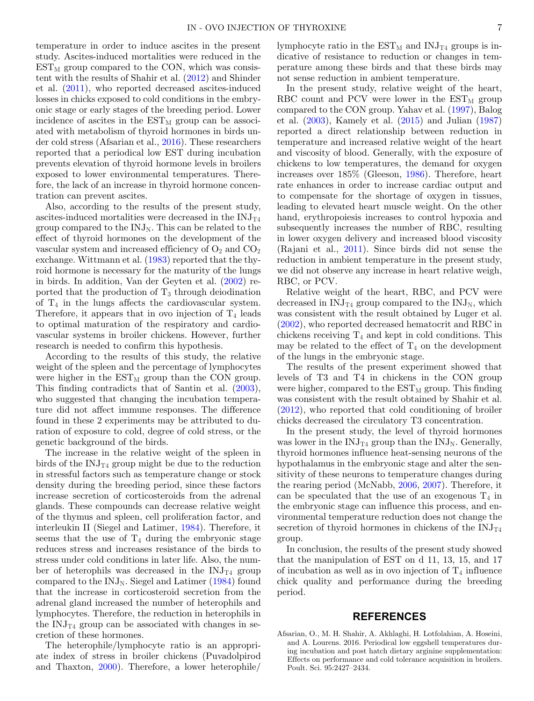temperature in order to induce ascites in the present study. Ascites-induced mortalities were reduced in the  $EST_{M}$  group compared to the CON, which was consistent with the results of Shahir et al. [\(2012\)](#page-7-30) and Shinder et al. [\(2011\)](#page-7-36), who reported decreased ascites-induced losses in chicks exposed to cold conditions in the embryonic stage or early stages of the breeding period. Lower incidence of ascites in the  $\text{EST}_{\text{M}}$  group can be associated with metabolism of thyroid hormones in birds under cold stress (Afsarian et al., [2016\)](#page-6-0). These researchers reported that a periodical low EST during incubation prevents elevation of thyroid hormone levels in broilers exposed to lower environmental temperatures. Therefore, the lack of an increase in thyroid hormone concentration can prevent ascites.

Also, according to the results of the present study, ascites-induced mortalities were decreased in the  $\text{INJ}_{\text{T4}}$ group compared to the  $\text{INJ}_N$ . This can be related to the effect of thyroid hormones on the development of the vascular system and increased efficiency of  $O_2$  and  $CO_2$ exchange. Wittmann et al. [\(1983\)](#page-8-15) reported that the thyroid hormone is necessary for the maturity of the lungs in birds. In addition, Van der Geyten et al. [\(2002\)](#page-8-11) reported that the production of  $T_3$  through deiodination of  $T_4$  in the lungs affects the cardiovascular system. Therefore, it appears that in ovo injection of  $T_4$  leads to optimal maturation of the respiratory and cardiovascular systems in broiler chickens. However, further research is needed to confirm this hypothesis.

According to the results of this study, the relative weight of the spleen and the percentage of lymphocytes were higher in the  $EST_M$  group than the CON group. This finding contradicts that of Santin et al. [\(2003\)](#page-7-37), who suggested that changing the incubation temperature did not affect immune responses. The difference found in these 2 experiments may be attributed to duration of exposure to cold, degree of cold stress, or the genetic background of the birds.

The increase in the relative weight of the spleen in birds of the  $\text{INJ}_{\text{T4}}$  group might be due to the reduction in stressful factors such as temperature change or stock density during the breeding period, since these factors increase secretion of corticosteroids from the adrenal glands. These compounds can decrease relative weight of the thymus and spleen, cell proliferation factor, and interleukin II (Siegel and Latimer, [1984\)](#page-8-16). Therefore, it seems that the use of  $T_4$  during the embryonic stage reduces stress and increases resistance of the birds to stress under cold conditions in later life. Also, the number of heterophils was decreased in the  $\text{INJ}_{\text{T4}}$  group compared to the  $\text{INJ}_\text{N}$ . Siegel and Latimer [\(1984\)](#page-8-16) found that the increase in corticosteroid secretion from the adrenal gland increased the number of heterophils and lymphocytes. Therefore, the reduction in heterophils in the  $\text{INJ}_{\text{T4}}$  group can be associated with changes in secretion of these hormones.

The heterophile/lymphocyte ratio is an appropriate index of stress in broiler chickens (Puvadolpirod and Thaxton, [2000\)](#page-7-38). Therefore, a lower heterophile/ lymphocyte ratio in the  $\text{EST}_{M}$  and  $\text{INJ}_{T4}$  groups is indicative of resistance to reduction or changes in temperature among these birds and that these birds may not sense reduction in ambient temperature.

In the present study, relative weight of the heart, RBC count and PCV were lower in the  $EST_M$  group compared to the CON group. Yahav et al. [\(1997\)](#page-8-17), Balog et al. [\(2003\)](#page-7-39), Kamely et al. [\(2015\)](#page-7-40) and Julian [\(1987\)](#page-7-41) reported a direct relationship between reduction in temperature and increased relative weight of the heart and viscosity of blood. Generally, with the exposure of chickens to low temperatures, the demand for oxygen increases over 185% (Gleeson, [1986\)](#page-7-42). Therefore, heart rate enhances in order to increase cardiac output and to compensate for the shortage of oxygen in tissues, leading to elevated heart muscle weight. On the other hand, erythropoiesis increases to control hypoxia and subsequently increases the number of RBC, resulting in lower oxygen delivery and increased blood viscosity (Rajani et al., [2011\)](#page-7-43). Since birds did not sense the reduction in ambient temperature in the present study, we did not observe any increase in heart relative weigh, RBC, or PCV.

Relative weight of the heart, RBC, and PCV were decreased in  $\text{INJ}_{\text{T4}}$  group compared to the  $\text{INJ}_{\text{N}}$ , which was consistent with the result obtained by Luger et al. [\(2002\)](#page-7-13), who reported decreased hematocrit and RBC in chickens receiving  $T_4$  and kept in cold conditions. This may be related to the effect of  $T_4$  on the development of the lungs in the embryonic stage.

The results of the present experiment showed that levels of T3 and T4 in chickens in the CON group were higher, compared to the  $\text{EST}_{\text{M}}$  group. This finding was consistent with the result obtained by Shahir et al. [\(2012\)](#page-7-30), who reported that cold conditioning of broiler chicks decreased the circulatory T3 concentration.

In the present study, the level of thyroid hormones was lower in the  $\text{INJ}_{\text{T4}}$  group than the  $\text{INJ}_{\text{N}}$ . Generally, thyroid hormones influence heat-sensing neurons of the hypothalamus in the embryonic stage and alter the sensitivity of these neurons to temperature changes during the rearing period (McNabb, [2006,](#page-7-20) [2007\)](#page-7-33). Therefore, it can be speculated that the use of an exogenous  $T_4$  in the embryonic stage can influence this process, and environmental temperature reduction does not change the secretion of thyroid hormones in chickens of the  $\text{INJ}_{\text{T4}}$ group.

In conclusion, the results of the present study showed that the manipulation of EST on d 11, 13, 15, and 17 of incubation as well as in ovo injection of  $T_4$  influence chick quality and performance during the breeding period.

### **REFERENCES**

<span id="page-6-0"></span>Afsarian, O., M. H. Shahir, A. Akhlaghi, H. Lotfolahian, A. Hoseini, and A. Lourens. 2016. Periodical low eggshell temperatures during incubation and post hatch dietary arginine supplementation: Effects on performance and cold tolerance acquisition in broilers. Poult. Sci. 95:2427–2434.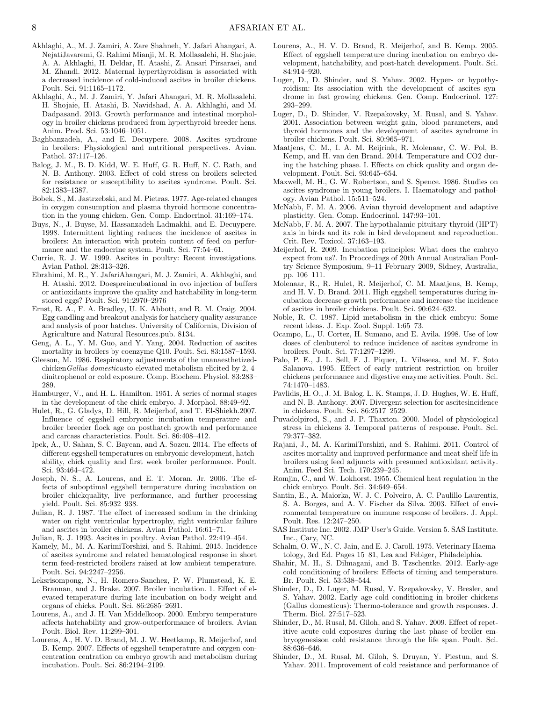- <span id="page-7-5"></span>Akhlaghi, A., M. J. Zamiri, A. Zare Shahneh, Y. Jafari Ahangari, A. NejatiJavaremi, G. Rahimi Mianji, M. R. Mollasalehi, H. Shojaie, A. A. Akhlaghi, H. Deldar, H. Atashi, Z. Ansari Pirsaraei, and M. Zhandi. 2012. Maternal hyperthyroidism is associated with a decreased incidence of cold-induced ascites in broiler chickens. Poult. Sci. 91:1165–1172.
- <span id="page-7-34"></span>Akhlaghi, A., M. J. Zamiri, Y. Jafari Ahangari, M. R. Mollasalehi, H. Shojaie, H. Atashi, B. Navidshad, A. A. Akhlaghi, and M. Dadpasand. 2013. Growth performance and intestinal morphology in broiler chickens produced from hyperthyroid breeder hens. Anim. Prod. Sci. 53:1046–1051.
- <span id="page-7-6"></span>Baghbanzadeh, A., and E. Decuypere. 2008. Ascites syndrome in broilers: Physiological and nutritional perspectives. Avian. Pathol. 37:117–126.
- <span id="page-7-39"></span>Balog, J. M., B. D. Kidd, W. E. Huff, G. R. Huff, N. C. Rath, and N. B. Anthony. 2003. Effect of cold stress on broilers selected for resistance or susceptibility to ascites syndrome. Poult. Sci. 82:1383–1387.
- <span id="page-7-11"></span>Bobek, S., M. Jastrzebski, and M. Pietras. 1977. Age-related changes in oxygen consumption and plasma thyroid hormone concentration in the young chicken. Gen. Comp. Endocrinol. 31:169–174.
- <span id="page-7-10"></span>Buys, N., J. Buyse, M. Hassanzadeh-Ladmakhi, and E. Decuypere. 1998. Intermittent lighting reduces the incidence of ascites in broilers: An interaction with protein content of feed on performance and the endocrine system. Poult. Sci. 77:54–61.
- <span id="page-7-1"></span>Currie, R. J. W. 1999. Ascites in poultry: Recent investigations. Avian Pathol. 28:313–326.
- <span id="page-7-15"></span>Ebrahimi, M. R., Y. JafariAhangari, M. J. Zamiri, A. Akhlaghi, and H. Atashi. 2012. Doespreincubational in ovo injection of buffers or antioxidants improve the quality and hatchability in long-term stored eggs? Poult. Sci. 91:2970–2976
- <span id="page-7-14"></span>Ernst, R. A., F. A. Bradley, U. K. Abbott, and R. M. Craig. 2004. Egg candling and breakout analysis for hatchery quality assurance and analysis of poor hatches. University of California, Division of Agriculture and Natural Resources.pub. 8134.
- <span id="page-7-4"></span>Geng, A. L., Y. M. Guo, and Y. Yang. 2004. Reduction of ascites mortality in broilers by coenzyme Q10. Poult. Sci. 83:1587–1593.
- <span id="page-7-42"></span>Gleeson, M. 1986. Respiratory adjustments of the unanaesthetizedchicken*Gallus domesticus*to elevated metabolism elicited by 2, 4 dinitrophenol or cold exposure. Comp. Biochem. Physiol. 83:283– 289.
- <span id="page-7-16"></span>Hamburger, V., and H. L. Hamilton. 1951. A series of normal stages in the development of the chick embryo. J. Morphol. 88:49–92.
- <span id="page-7-8"></span>Hulet, R., G. Gladys, D. Hill, R. Meijerhof, and T. El-Shiekh.2007. Influence of eggshell embryonic incubation temperature and broiler breeder flock age on posthatch growth and performance and carcass characteristics. Poult. Sci. 86:408–412.
- <span id="page-7-25"></span>Ipek, A., U. Sahan, S. C. Baycan, and A. Sozcu. 2014. The effects of different eggshell temperatures on embryonic development, hatchability, chick quality and first week broiler performance. Poult. Sci. 93:464–472.
- <span id="page-7-27"></span>Joseph, N. S., A. Lourens, and E. T. Moran, Jr. 2006. The effects of suboptimal eggshell temperature during incubation on broiler chickquality, live performance, and further processing yield. Poult. Sci. 85:932–938.
- <span id="page-7-41"></span>Julian, R. J. 1987. The effect of increased sodium in the drinking water on right ventricular hypertrophy, right ventricular failure and ascites in broiler chickens. Avian Pathol. 16:61–71.
- <span id="page-7-0"></span>Julian, R. J. 1993. Ascites in poultry. Avian Pathol. 22:419–454.
- <span id="page-7-40"></span>Kamely, M., M. A. KarimiTorshizi, and S. Rahimi. 2015. Incidence of ascites syndrome and related hematological response in short term feed-restricted broilers raised at low ambient temperature. Poult. Sci. 94:2247–2256.
- <span id="page-7-9"></span>Leksrisompong, N., H. Romero-Sanchez, P. W. Plumstead, K. E. Brannan, and J. Brake. 2007. Broiler incubation. 1. Effect of elevated temperature during late incubation on body weight and organs of chicks. Poult. Sci. 86:2685–2691.
- <span id="page-7-29"></span>Lourens, A., and J. H. Van Middelkoop. 2000. Embryo temperature affects hatchability and grow-outperformance of broilers. Avian Poult. Biol. Rev. 11:299–301.
- <span id="page-7-22"></span>Lourens, A., H. V. D. Brand, M. J. W. Heetkamp, R. Meijerhof, and B. Kemp. 2007. Effects of eggshell temperature and oxygen concentration centration on embryo growth and metabolism during incubation. Poult. Sci. 86:2194–2199.
- <span id="page-7-21"></span>Lourens, A., H. V. D. Brand, R. Meijerhof, and B. Kemp. 2005. Effect of eggshell temperature during incubation on embryo development, hatchability, and post-hatch development. Poult. Sci. 84:914–920.
- <span id="page-7-13"></span>Luger, D., D. Shinder, and S. Yahav. 2002. Hyper- or hypothyroidism: Its association with the development of ascites syndrome in fast growing chickens. Gen. Comp. Endocrinol. 127: 293–299.
- <span id="page-7-12"></span>Luger, D., D. Shinder, V. Rzepakovsky, M. Rusal, and S. Yahav. 2001. Association between weight gain, blood parameters, and thyroid hormones and the development of ascites syndrome in broiler chickens. Poult. Sci. 80:965–971.
- <span id="page-7-23"></span>Maatjens, C. M., I. A. M. Reijrink, R. Molenaar, C. W. Pol, B. Kemp, and H. van den Brand. 2014. Temperature and CO2 during the hatching phase. I. Effects on chick quality and organ development. Poult. Sci. 93:645–654.
- <span id="page-7-17"></span>Maxwell, M. H., G. W. Robertson, and S. Spence. 1986. Studies on ascites syndrome in young broilers. I. Haematology and pathology. Avian Pathol. 15:511–524.
- <span id="page-7-20"></span>McNabb, F. M. A. 2006. Avian thyroid development and adaptive plasticity. Gen. Comp. Endocrinol. 147:93–101.
- <span id="page-7-33"></span>McNabb, F. M. A. 2007. The hypothalamic-pituitary-thyroid (HPT) axis in birds and its role in bird development and reproduction. Crit. Rev. Toxicol. 37:163–193.
- <span id="page-7-26"></span>Meijerhof, R. 2009. Incubation principles: What does the embryo expect from us?. In Proccedings of 20th Annual Australian Poultry Science Symposium, 9–11 February 2009, Sidney, Australia, pp. 106–111.
- <span id="page-7-7"></span>Molenaar, R., R. Hulet, R. Meijerhof, C. M. Maatjens, B. Kemp, and H. V. D. Brand. 2011. High eggshell temperatures during incubation decrease growth performance and increase the incidence of ascites in broiler chickens. Poult. Sci. 90:624–632.
- <span id="page-7-28"></span>Noble, R. C. 1987. Lipid metabolism in the chick embryo: Some recent ideas. J. Exp. Zool. Suppl. 1:65–73.
- <span id="page-7-3"></span>Ocampo, L., U. Cortez, H. Sumano, and E. Avila. 1998. Use of low doses of clenbuterol to reduce incidence of ascites syndrome in broilers. Poult. Sci. 77:1297–1299.
- <span id="page-7-35"></span>Palo, P. E., J. L. Sell, F. J. Piquer, L. Vilaseea, and M. F. Soto Salanova. 1995. Effect of early nutrient restriction on broiler chickens performance and digestive enzyme activities. Poult. Sci. 74:1470–1483.
- <span id="page-7-2"></span>Pavlidis, H. O., J. M. Balog, L. K. Stamps, J. D. Hughes, W. E. Huff, and N. B. Anthony. 2007. Divergent selection for ascitesincidence in chickens. Poult. Sci. 86:2517–2529.
- <span id="page-7-38"></span>Puvadolpirod, S., and J. P. Thaxton. 2000. Model of physiological stress in chickens 3. Temporal patterns of response. Poult. Sci. 79:377–382.
- <span id="page-7-43"></span>Rajani, J., M. A. KarimiTorshizi, and S. Rahimi. 2011. Control of ascites mortality and improved performance and meat shelf-life in broilers using feed adjuncts with presumed antioxidant activity. Anim. Feed Sci. Tech. 170:239–245.
- <span id="page-7-24"></span>Romjin, C., and W. Lokhorst. 1955. Chemical heat regulation in the chick embryo. Poult. Sci. 34:649–654.
- <span id="page-7-37"></span>Santin, E., A. Maiorka, W. J. C. Polveiro, A. C. Paulillo Laurentiz, S. A. Borges, and A. V. Fischer da Silva. 2003. Effect of environmental temperature on immune response of broilers. J. Appl. Poult. Res. 12:247–250.
- <span id="page-7-19"></span>SAS Institute Inc. 2002. JMP User's Guide. Version 5. SAS Institute. Inc., Cary, NC.
- <span id="page-7-18"></span>Schalm, O. W., N. C. Jain, and E. J. Caroll. 1975. Veterinary Haematology, 3rd Ed. Pages 15–81, Lea and Febiger, Philadelphia.
- <span id="page-7-30"></span>Shahir, M. H., S. Dilmagani, and B. Tzschentke. 2012. Early-age cold conditioning of broilers: Effects of timing and temperature. Br. Poult. Sci. 53:538–544.
- <span id="page-7-31"></span>Shinder, D., D. Luger, M. Rusal, V. Rzepakovsky, V. Bresler, and S. Yahav. 2002. Early age cold conditioning in broiler chickens (Gallus domesticus): Thermo-tolerance and growth responses. J. Therm. Biol. 27:517–523.
- <span id="page-7-32"></span>Shinder, D., M. Rusal, M. Giloh, and S. Yahav. 2009. Effect of repetitive acute cold exposures during the last phase of broiler embryogenesison cold resistance through the life span. Poult. Sci. 88:636–646.
- <span id="page-7-36"></span>Shinder, D., M. Rusal, M. Giloh, S. Druyan, Y. Piestun, and S. Yahav. 2011. Improvement of cold resistance and performance of